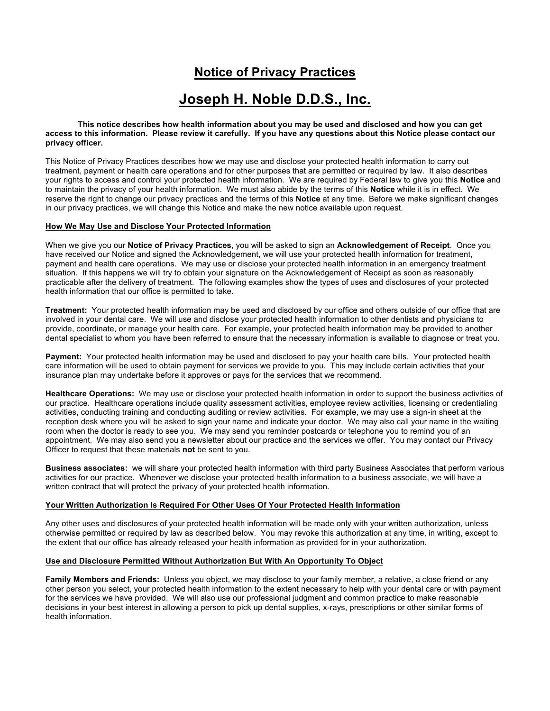# **Notice of Privacy Practices**

# **Joseph H. Noble D.D.S., Inc.**

**This notice describes how health information about you may be used and disclosed and how you can get access to this information. Please review it carefully. If you have any questions about this Notice please contact our privacy officer.**

This Notice of Privacy Practices describes how we may use and disclose your protected health information to carry out treatment, payment or health care operations and for other purposes that are permitted or required by law. It also describes your rights to access and control your protected health information. We are required by Federal law to give you this **Notice** and to maintain the privacy of your health information. We must also abide by the terms of this **Notice** while it is in effect. We reserve the right to change our privacy practices and the terms of this **Notice** at any time. Before we make significant changes in our privacy practices, we will change this Notice and make the new notice available upon request.

## **How We May Use and Disclose Your Protected Information**

When we give you our **Notice of Privacy Practices**, you will be asked to sign an **Acknowledgement of Receipt**. Once you have received our Notice and signed the Acknowledgement, we will use your protected health information for treatment, payment and health care operations. We may use or disclose your protected health information in an emergency treatment situation. If this happens we will try to obtain your signature on the Acknowledgement of Receipt as soon as reasonably practicable after the delivery of treatment. The following examples show the types of uses and disclosures of your protected health information that our office is permitted to take.

**Treatment:** Your protected health information may be used and disclosed by our office and others outside of our office that are involved in your dental care. We will use and disclose your protected health information to other dentists and physicians to provide, coordinate, or manage your health care. For example, your protected health information may be provided to another dental specialist to whom you have been referred to ensure that the necessary information is available to diagnose or treat you.

**Payment:** Your protected health information may be used and disclosed to pay your health care bills. Your protected health care information will be used to obtain payment for services we provide to you. This may include certain activities that your insurance plan may undertake before it approves or pays for the services that we recommend.

**Healthcare Operations:** We may use or disclose your protected health information in order to support the business activities of our practice. Healthcare operations include quality assessment activities, employee review activities, licensing or credentialing activities, conducting training and conducting auditing or review activities. For example, we may use a sign-in sheet at the reception desk where you will be asked to sign your name and indicate your doctor. We may also call your name in the waiting room when the doctor is ready to see you. We may send you reminder postcards or telephone you to remind you of an appointment. We may also send you a newsletter about our practice and the services we offer. You may contact our Privacy Officer to request that these materials **not** be sent to you.

**Business associates:** we will share your protected health information with third party Business Associates that perform various activities for our practice. Whenever we disclose your protected health information to a business associate, we will have a written contract that will protect the privacy of your protected health information.

## **Your Written Authorization Is Required For Other Uses Of Your Protected Health Information**

Any other uses and disclosures of your protected health information will be made only with your written authorization, unless otherwise permitted or required by law as described below. You may revoke this authorization at any time, in writing, except to the extent that our office has already released your health information as provided for in your authorization.

## **Use and Disclosure Permitted Without Authorization But With An Opportunity To Object**

**Family Members and Friends:** Unless you object, we may disclose to your family member, a relative, a close friend or any other person you select, your protected health information to the extent necessary to help with your dental care or with payment for the services we have provided. We will also use our professional judgment and common practice to make reasonable decisions in your best interest in allowing a person to pick up dental supplies, x-rays, prescriptions or other similar forms of health information.